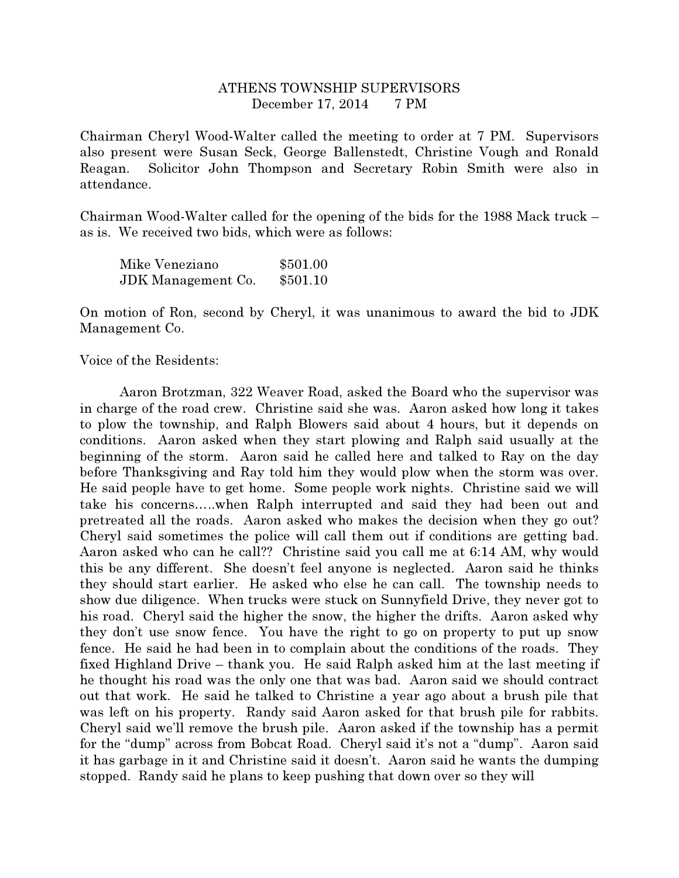## ATHENS TOWNSHIP SUPERVISORS December 17, 2014 7 PM

Chairman Cheryl Wood-Walter called the meeting to order at 7 PM. Supervisors also present were Susan Seck, George Ballenstedt, Christine Vough and Ronald Reagan. Solicitor John Thompson and Secretary Robin Smith were also in attendance.

Chairman Wood-Walter called for the opening of the bids for the 1988 Mack truck – as is. We received two bids, which were as follows:

| Mike Veneziano            | \$501.00 |
|---------------------------|----------|
| <b>JDK</b> Management Co. | \$501.10 |

On motion of Ron, second by Cheryl, it was unanimous to award the bid to JDK Management Co.

Voice of the Residents:

 Aaron Brotzman, 322 Weaver Road, asked the Board who the supervisor was in charge of the road crew. Christine said she was. Aaron asked how long it takes to plow the township, and Ralph Blowers said about 4 hours, but it depends on conditions. Aaron asked when they start plowing and Ralph said usually at the beginning of the storm. Aaron said he called here and talked to Ray on the day before Thanksgiving and Ray told him they would plow when the storm was over. He said people have to get home. Some people work nights. Christine said we will take his concerns…..when Ralph interrupted and said they had been out and pretreated all the roads. Aaron asked who makes the decision when they go out? Cheryl said sometimes the police will call them out if conditions are getting bad. Aaron asked who can he call?? Christine said you call me at 6:14 AM, why would this be any different. She doesn't feel anyone is neglected. Aaron said he thinks they should start earlier. He asked who else he can call. The township needs to show due diligence. When trucks were stuck on Sunnyfield Drive, they never got to his road. Cheryl said the higher the snow, the higher the drifts. Aaron asked why they don't use snow fence. You have the right to go on property to put up snow fence. He said he had been in to complain about the conditions of the roads. They fixed Highland Drive – thank you. He said Ralph asked him at the last meeting if he thought his road was the only one that was bad. Aaron said we should contract out that work. He said he talked to Christine a year ago about a brush pile that was left on his property. Randy said Aaron asked for that brush pile for rabbits. Cheryl said we'll remove the brush pile. Aaron asked if the township has a permit for the "dump" across from Bobcat Road. Cheryl said it's not a "dump". Aaron said it has garbage in it and Christine said it doesn't. Aaron said he wants the dumping stopped. Randy said he plans to keep pushing that down over so they will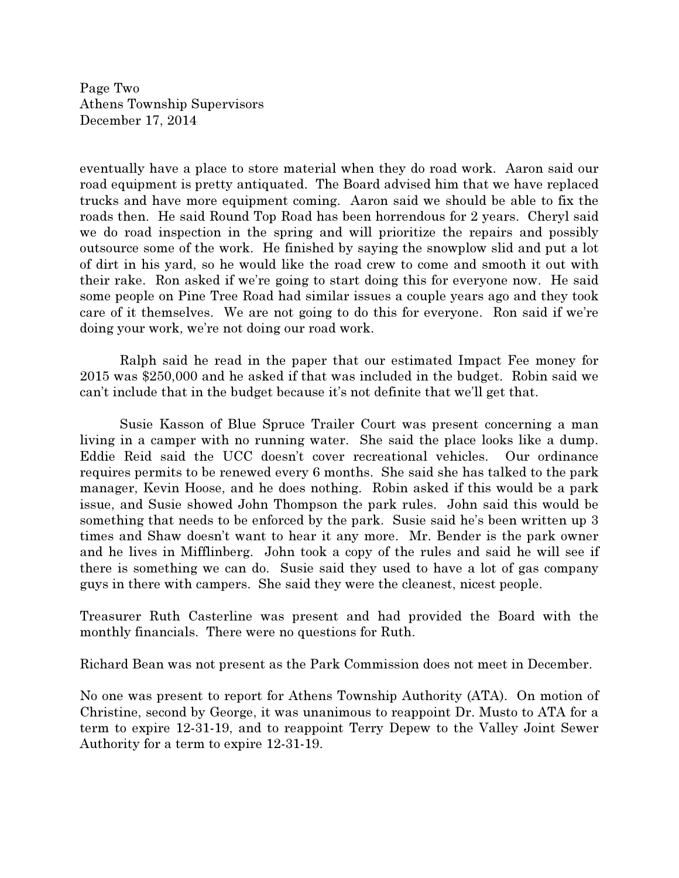Page Two Athens Township Supervisors December 17, 2014

eventually have a place to store material when they do road work. Aaron said our road equipment is pretty antiquated. The Board advised him that we have replaced trucks and have more equipment coming. Aaron said we should be able to fix the roads then. He said Round Top Road has been horrendous for 2 years. Cheryl said we do road inspection in the spring and will prioritize the repairs and possibly outsource some of the work. He finished by saying the snowplow slid and put a lot of dirt in his yard, so he would like the road crew to come and smooth it out with their rake. Ron asked if we're going to start doing this for everyone now. He said some people on Pine Tree Road had similar issues a couple years ago and they took care of it themselves. We are not going to do this for everyone. Ron said if we're doing your work, we're not doing our road work.

Ralph said he read in the paper that our estimated Impact Fee money for 2015 was \$250,000 and he asked if that was included in the budget. Robin said we can't include that in the budget because it's not definite that we'll get that.

 Susie Kasson of Blue Spruce Trailer Court was present concerning a man living in a camper with no running water. She said the place looks like a dump. Eddie Reid said the UCC doesn't cover recreational vehicles. Our ordinance requires permits to be renewed every 6 months. She said she has talked to the park manager, Kevin Hoose, and he does nothing. Robin asked if this would be a park issue, and Susie showed John Thompson the park rules. John said this would be something that needs to be enforced by the park. Susie said he's been written up 3 times and Shaw doesn't want to hear it any more. Mr. Bender is the park owner and he lives in Mifflinberg. John took a copy of the rules and said he will see if there is something we can do. Susie said they used to have a lot of gas company guys in there with campers. She said they were the cleanest, nicest people.

Treasurer Ruth Casterline was present and had provided the Board with the monthly financials. There were no questions for Ruth.

Richard Bean was not present as the Park Commission does not meet in December.

No one was present to report for Athens Township Authority (ATA). On motion of Christine, second by George, it was unanimous to reappoint Dr. Musto to ATA for a term to expire 12-31-19, and to reappoint Terry Depew to the Valley Joint Sewer Authority for a term to expire 12-31-19.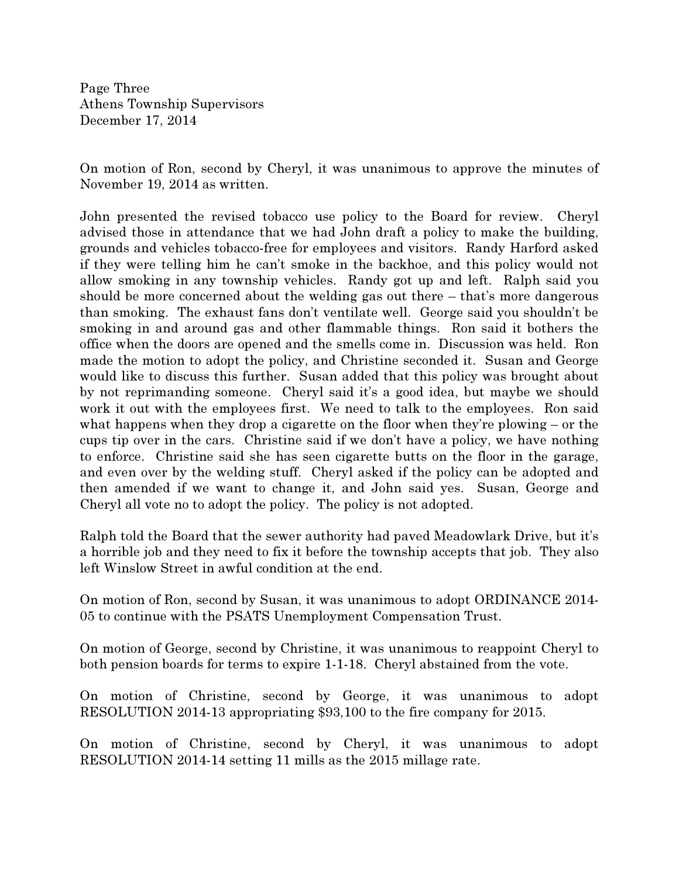Page Three Athens Township Supervisors December 17, 2014

On motion of Ron, second by Cheryl, it was unanimous to approve the minutes of November 19, 2014 as written.

John presented the revised tobacco use policy to the Board for review. Cheryl advised those in attendance that we had John draft a policy to make the building, grounds and vehicles tobacco-free for employees and visitors. Randy Harford asked if they were telling him he can't smoke in the backhoe, and this policy would not allow smoking in any township vehicles. Randy got up and left. Ralph said you should be more concerned about the welding gas out there – that's more dangerous than smoking. The exhaust fans don't ventilate well. George said you shouldn't be smoking in and around gas and other flammable things. Ron said it bothers the office when the doors are opened and the smells come in. Discussion was held. Ron made the motion to adopt the policy, and Christine seconded it. Susan and George would like to discuss this further. Susan added that this policy was brought about by not reprimanding someone. Cheryl said it's a good idea, but maybe we should work it out with the employees first. We need to talk to the employees. Ron said what happens when they drop a cigarette on the floor when they're plowing – or the cups tip over in the cars. Christine said if we don't have a policy, we have nothing to enforce. Christine said she has seen cigarette butts on the floor in the garage, and even over by the welding stuff. Cheryl asked if the policy can be adopted and then amended if we want to change it, and John said yes. Susan, George and Cheryl all vote no to adopt the policy. The policy is not adopted.

Ralph told the Board that the sewer authority had paved Meadowlark Drive, but it's a horrible job and they need to fix it before the township accepts that job. They also left Winslow Street in awful condition at the end.

On motion of Ron, second by Susan, it was unanimous to adopt ORDINANCE 2014- 05 to continue with the PSATS Unemployment Compensation Trust.

On motion of George, second by Christine, it was unanimous to reappoint Cheryl to both pension boards for terms to expire 1-1-18. Cheryl abstained from the vote.

On motion of Christine, second by George, it was unanimous to adopt RESOLUTION 2014-13 appropriating \$93,100 to the fire company for 2015.

On motion of Christine, second by Cheryl, it was unanimous to adopt RESOLUTION 2014-14 setting 11 mills as the 2015 millage rate.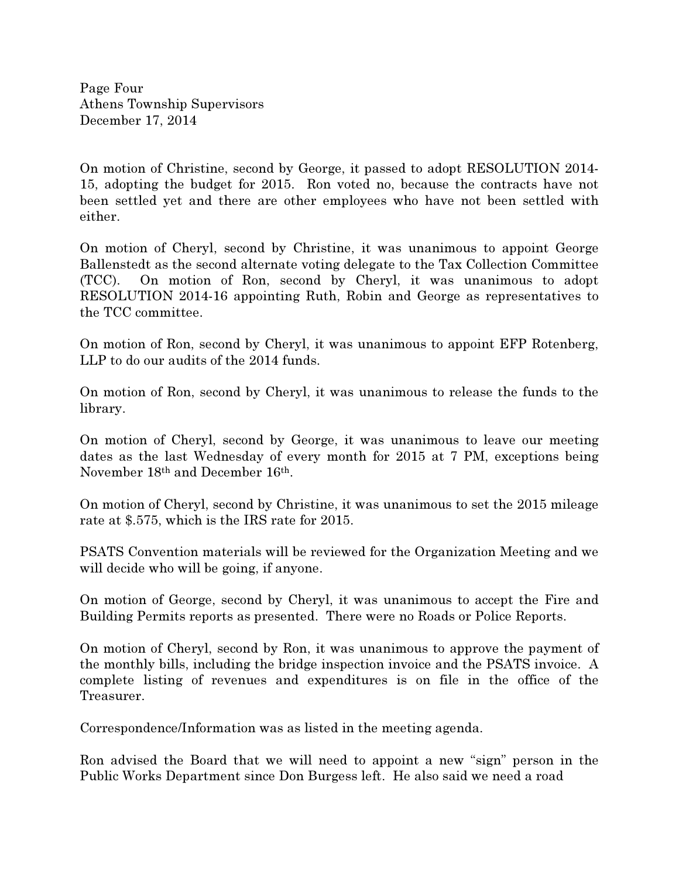Page Four Athens Township Supervisors December 17, 2014

On motion of Christine, second by George, it passed to adopt RESOLUTION 2014- 15, adopting the budget for 2015. Ron voted no, because the contracts have not been settled yet and there are other employees who have not been settled with either.

On motion of Cheryl, second by Christine, it was unanimous to appoint George Ballenstedt as the second alternate voting delegate to the Tax Collection Committee (TCC). On motion of Ron, second by Cheryl, it was unanimous to adopt RESOLUTION 2014-16 appointing Ruth, Robin and George as representatives to the TCC committee.

On motion of Ron, second by Cheryl, it was unanimous to appoint EFP Rotenberg, LLP to do our audits of the 2014 funds.

On motion of Ron, second by Cheryl, it was unanimous to release the funds to the library.

On motion of Cheryl, second by George, it was unanimous to leave our meeting dates as the last Wednesday of every month for 2015 at 7 PM, exceptions being November 18th and December 16th.

On motion of Cheryl, second by Christine, it was unanimous to set the 2015 mileage rate at \$.575, which is the IRS rate for 2015.

PSATS Convention materials will be reviewed for the Organization Meeting and we will decide who will be going, if anyone.

On motion of George, second by Cheryl, it was unanimous to accept the Fire and Building Permits reports as presented. There were no Roads or Police Reports.

On motion of Cheryl, second by Ron, it was unanimous to approve the payment of the monthly bills, including the bridge inspection invoice and the PSATS invoice. A complete listing of revenues and expenditures is on file in the office of the Treasurer.

Correspondence/Information was as listed in the meeting agenda.

Ron advised the Board that we will need to appoint a new "sign" person in the Public Works Department since Don Burgess left. He also said we need a road